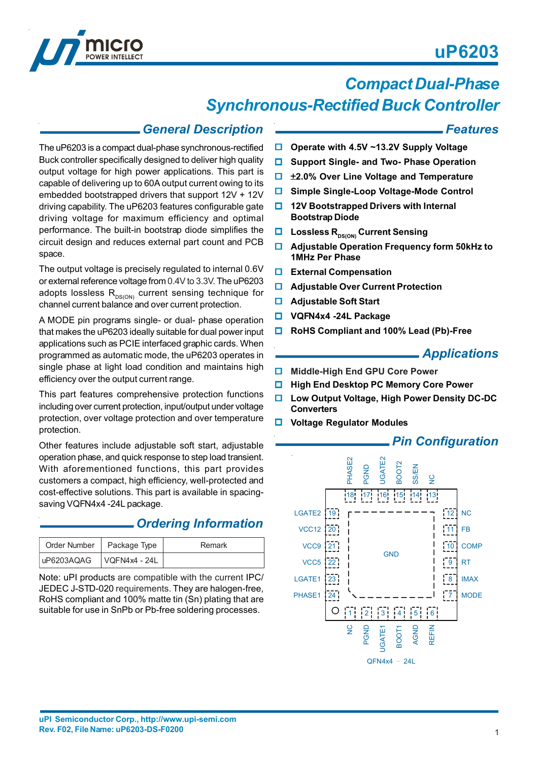# **uP6203**



# *Compact Dual-Phase Synchronous-Rectified Buck Controller*

### *General Description*

The uP6203 is a compact dual-phase synchronous-rectified Buck controller specifically designed to deliver high quality output voltage for high power applications. This part is capable of delivering up to 60A output current owing to its embedded bootstrapped drivers that support 12V + 12V driving capability. The uP6203 features configurable gate driving voltage for maximum efficiency and optimal performance. The built-in bootstrap diode simplifies the circuit design and reduces external part count and PCB space.

The output voltage is precisely regulated to internal 0.6V or external reference voltage from 0.4V to 3.3V. The uP6203 adopts lossless  $R_{DS(ON)}$  current sensing technique for channel current balance and over current protection.

A MODE pin programs single- or dual- phase operation that makes the uP6203 ideally suitable for dual power input applications such as PCIE interfaced graphic cards. When programmed as automatic mode, the uP6203 operates in single phase at light load condition and maintains high efficiency over the output current range.

This part features comprehensive protection functions including over current protection, input/output under voltage protection, over voltage protection and over temperature protection.

Other features include adjustable soft start, adjustable operation phase, and quick response to step load transient. With aforementioned functions, this part provides customers a compact, high efficiency, well-protected and cost-effective solutions. This part is available in spacingsaving VQFN4x4 -24L package.

### *Ordering Information*

| Order Number   Package Type | Remark |
|-----------------------------|--------|
|                             |        |

Note: uPI products are compatible with the current IPC/ JEDEC J-STD-020 requirements. They are halogen-free, RoHS compliant and 100% matte tin (Sn) plating that are suitable for use in SnPb or Pb-free soldering processes.

#### *Features*

- **Operate with 4.5V ~13.2V Supply Voltage**
- **Support Single- and Two- Phase Operation**
- ±**2.0% Over Line Voltage and Temperature**
- **Simple Single-Loop Voltage-Mode Control**
- **12V Bootstrapped Drivers with Internal Bootstrap Diode**
- **LOSSIESS R<sub>DS(ON)</sub> Current Sensing**
- **Adjustable Operation Frequency form 50kHz to 1MHz Per Phase**
- **External Compensation**
- **Adjustable Over Current Protection**
- **Adjustable Soft Start**
- **VQFN4x4 -24L Package**
- **RoHS Compliant and 100% Lead (Pb)-Free**

### *Applications*

- **Middle-High End GPU Core Power**
- **High End Desktop PC Memory Core Power**
- **Low Output Voltage, High Power Density DC-DC Converters**
- **Voltage Regulator Modules**



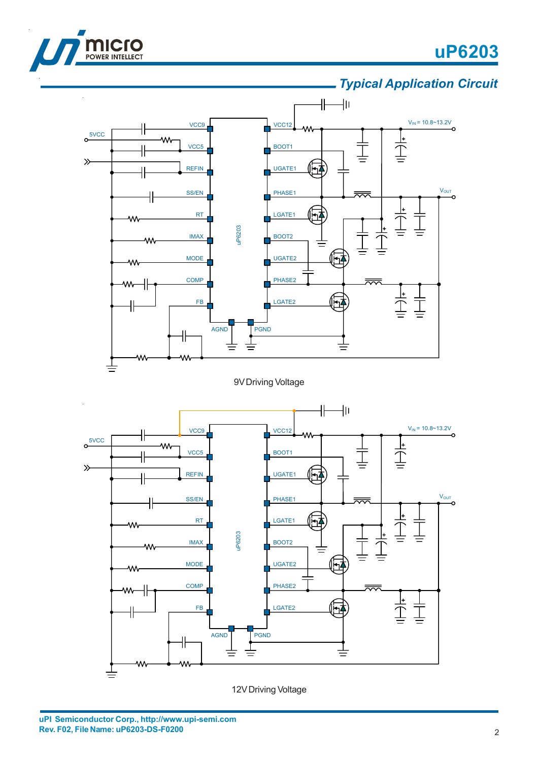

l,

# **uP6203**

## *Typical Application Circuit*



9V Driving Voltage



12V Driving Voltage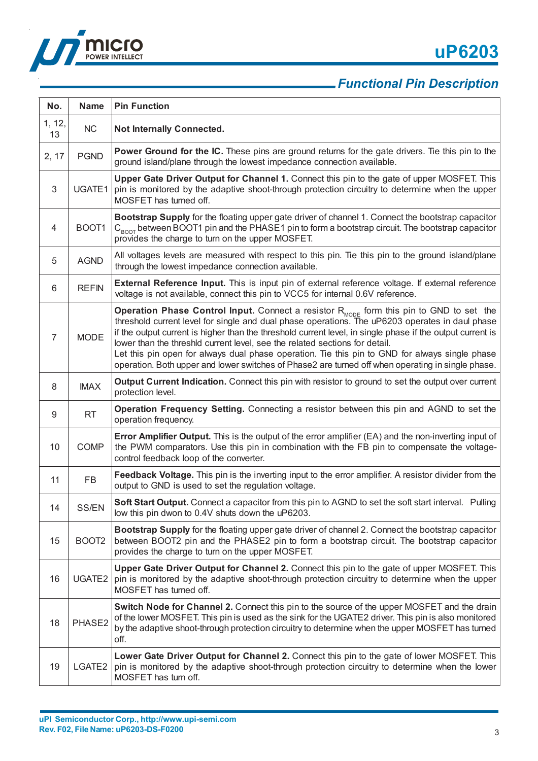



| No.          | <b>Name</b>       | <b>Pin Function</b>                                                                                                                                                                                                                                                                                                                                                                                                                                                                                                                                                                                               |
|--------------|-------------------|-------------------------------------------------------------------------------------------------------------------------------------------------------------------------------------------------------------------------------------------------------------------------------------------------------------------------------------------------------------------------------------------------------------------------------------------------------------------------------------------------------------------------------------------------------------------------------------------------------------------|
| 1, 12,<br>13 | NC                | <b>Not Internally Connected.</b>                                                                                                                                                                                                                                                                                                                                                                                                                                                                                                                                                                                  |
| 2, 17        | <b>PGND</b>       | <b>Power Ground for the IC.</b> These pins are ground returns for the gate drivers. Tie this pin to the<br>ground island/plane through the lowest impedance connection available.                                                                                                                                                                                                                                                                                                                                                                                                                                 |
| 3            | UGATE1            | Upper Gate Driver Output for Channel 1. Connect this pin to the gate of upper MOSFET. This<br>pin is monitored by the adaptive shoot-through protection circuitry to determine when the upper<br>MOSFET has turned off.                                                                                                                                                                                                                                                                                                                                                                                           |
| 4            | BOOT1             | Bootstrap Supply for the floating upper gate driver of channel 1. Connect the bootstrap capacitor<br>$C_{\text{BOOT}}$ between BOOT1 pin and the PHASE1 pin to form a bootstrap circuit. The bootstrap capacitor<br>provides the charge to turn on the upper MOSFET.                                                                                                                                                                                                                                                                                                                                              |
| 5            | <b>AGND</b>       | All voltages levels are measured with respect to this pin. Tie this pin to the ground island/plane<br>through the lowest impedance connection available.                                                                                                                                                                                                                                                                                                                                                                                                                                                          |
| 6            | <b>REFIN</b>      | <b>External Reference Input.</b> This is input pin of external reference voltage. If external reference<br>voltage is not available, connect this pin to VCC5 for internal 0.6V reference.                                                                                                                                                                                                                                                                                                                                                                                                                        |
| 7            | <b>MODE</b>       | <b>Operation Phase Control Input.</b> Connect a resistor $R_{\text{MODE}}$ form this pin to GND to set the<br>threshold current level for single and dual phase operations. The uP6203 operates in daul phase<br>if the output current is higher than the threshold current level, in single phase if the output current is<br>lower than the threshld current level, see the related sections for detail.<br>Let this pin open for always dual phase operation. Tie this pin to GND for always single phase<br>operation. Both upper and lower switches of Phase2 are turned off when operating in single phase. |
| 8            | <b>IMAX</b>       | Output Current Indication. Connect this pin with resistor to ground to set the output over current<br>protection level.                                                                                                                                                                                                                                                                                                                                                                                                                                                                                           |
| 9            | <b>RT</b>         | Operation Frequency Setting. Connecting a resistor between this pin and AGND to set the<br>operation frequency.                                                                                                                                                                                                                                                                                                                                                                                                                                                                                                   |
| 10           | <b>COMP</b>       | Error Amplifier Output. This is the output of the error amplifier (EA) and the non-inverting input of<br>the PWM comparators. Use this pin in combination with the FB pin to compensate the voltage-<br>control feedback loop of the converter.                                                                                                                                                                                                                                                                                                                                                                   |
| 11           | FB                | Feedback Voltage. This pin is the inverting input to the error amplifier. A resistor divider from the<br>output to GND is used to set the regulation voltage.                                                                                                                                                                                                                                                                                                                                                                                                                                                     |
| 14           | SS/EN             | <b>Soft Start Output.</b> Connect a capacitor from this pin to AGND to set the soft start interval. Pulling<br>low this pin dwon to 0.4V shuts down the uP6203.                                                                                                                                                                                                                                                                                                                                                                                                                                                   |
| 15           | BOOT <sub>2</sub> | Bootstrap Supply for the floating upper gate driver of channel 2. Connect the bootstrap capacitor<br>between BOOT2 pin and the PHASE2 pin to form a bootstrap circuit. The bootstrap capacitor<br>provides the charge to turn on the upper MOSFET.                                                                                                                                                                                                                                                                                                                                                                |
| 16           | UGATE2            | Upper Gate Driver Output for Channel 2. Connect this pin to the gate of upper MOSFET. This<br>pin is monitored by the adaptive shoot-through protection circuitry to determine when the upper<br>MOSFET has turned off.                                                                                                                                                                                                                                                                                                                                                                                           |
| 18           | PHASE2            | Switch Node for Channel 2. Connect this pin to the source of the upper MOSFET and the drain<br>of the lower MOSFET. This pin is used as the sink for the UGATE2 driver. This pin is also monitored<br>by the adaptive shoot-through protection circuitry to determine when the upper MOSFET has turned<br>off.                                                                                                                                                                                                                                                                                                    |
| 19           | LGATE2            | Lower Gate Driver Output for Channel 2. Connect this pin to the gate of lower MOSFET. This<br>pin is monitored by the adaptive shoot-through protection circuitry to determine when the lower<br>MOSFET has turn off.                                                                                                                                                                                                                                                                                                                                                                                             |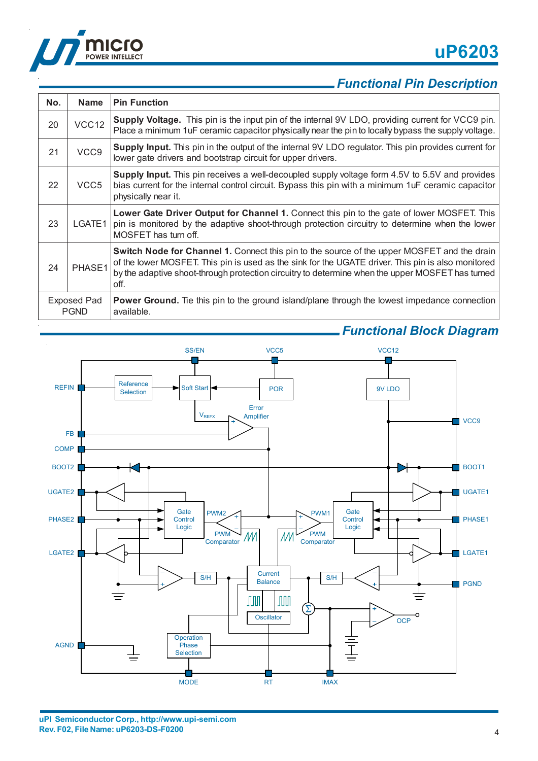

| No.                               | <b>Name</b>       | <b>Pin Function</b>                                                                                                                                                                                                                                                                                           |
|-----------------------------------|-------------------|---------------------------------------------------------------------------------------------------------------------------------------------------------------------------------------------------------------------------------------------------------------------------------------------------------------|
| 20                                | VCC <sub>12</sub> | Supply Voltage. This pin is the input pin of the internal 9V LDO, providing current for VCC9 pin.<br>Place a minimum 1uF ceramic capacitor physically near the pin to locally bypass the supply voltage.                                                                                                      |
| 21                                | VCC9              | Supply Input. This pin in the output of the internal 9V LDO regulator. This pin provides current for<br>lower gate drivers and bootstrap circuit for upper drivers.                                                                                                                                           |
| 22                                | VCC <sub>5</sub>  | Supply Input. This pin receives a well-decoupled supply voltage form 4.5V to 5.5V and provides<br>bias current for the internal control circuit. Bypass this pin with a minimum 1uF ceramic capacitor<br>physically near it.                                                                                  |
| 23                                | LGATE1            | Lower Gate Driver Output for Channel 1. Connect this pin to the gate of lower MOSFET. This<br>pin is monitored by the adaptive shoot-through protection circuitry to determine when the lower<br>MOSFET has turn off.                                                                                         |
| 24                                | PHASE1            | Switch Node for Channel 1. Connect this pin to the source of the upper MOSFET and the drain<br>of the lower MOSFET. This pin is used as the sink for the UGATE driver. This pin is also monitored<br>by the adaptive shoot-through protection circuitry to determine when the upper MOSFET has turned<br>off. |
| <b>Exposed Pad</b><br><b>PGND</b> |                   | <b>Power Ground.</b> Tie this pin to the ground island/plane through the lowest impedance connection<br>available.                                                                                                                                                                                            |



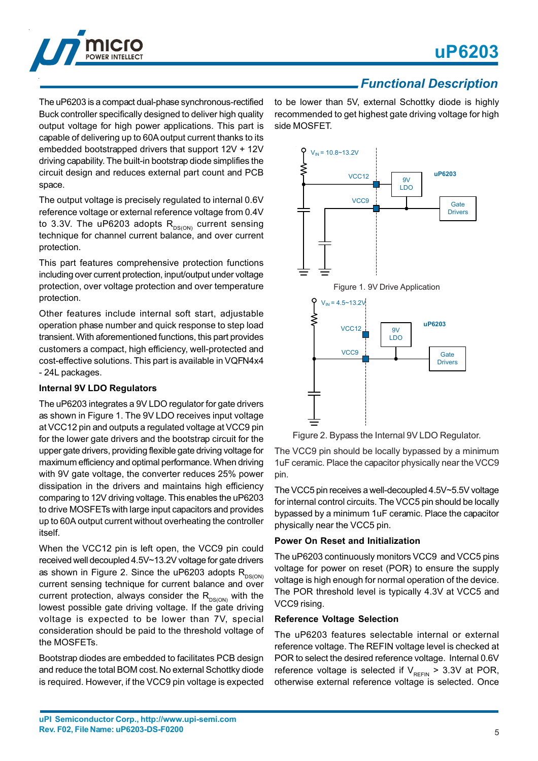

The uP6203 is a compact dual-phase synchronous-rectified Buck controller specifically designed to deliver high quality output voltage for high power applications. This part is capable of delivering up to 60A output current thanks to its embedded bootstrapped drivers that support 12V + 12V driving capability. The built-in bootstrap diode simplifies the circuit design and reduces external part count and PCB space.

The output voltage is precisely regulated to internal 0.6V reference voltage or external reference voltage from 0.4V to 3.3V. The uP6203 adopts  $R_{DS(ON)}$  current sensing technique for channel current balance, and over current protection.

This part features comprehensive protection functions including over current protection, input/output under voltage protection, over voltage protection and over temperature protection.

Other features include internal soft start, adjustable operation phase number and quick response to step load transient. With aforementioned functions, this part provides customers a compact, high efficiency, well-protected and cost-effective solutions. This part is available in VQFN4x4 - 24L packages.

#### **Internal 9V LDO Regulators**

The uP6203 integrates a 9V LDO regulator for gate drivers as shown in Figure 1. The 9V LDO receives input voltage at VCC12 pin and outputs a regulated voltage at VCC9 pin for the lower gate drivers and the bootstrap circuit for the upper gate drivers, providing flexible gate driving voltage for maximum efficiency and optimal performance. When driving with 9V gate voltage, the converter reduces 25% power dissipation in the drivers and maintains high efficiency comparing to 12V driving voltage. This enables the uP6203 to drive MOSFETs with large input capacitors and provides up to 60A output current without overheating the controller itself.

When the VCC12 pin is left open, the VCC9 pin could received well decoupled 4.5V~13.2V voltage for gate drivers as shown in Figure 2. Since the uP6203 adopts  $R_{DS(ON)}$ current sensing technique for current balance and over current protection, always consider the  $R_{DS(ON)}$  with the lowest possible gate driving voltage. If the gate driving voltage is expected to be lower than 7V, special consideration should be paid to the threshold voltage of the MOSFETs.

Bootstrap diodes are embedded to facilitates PCB design and reduce the total BOM cost. No external Schottky diode is required. However, if the VCC9 pin voltage is expected

to be lower than 5V, external Schottky diode is highly recommended to get highest gate driving voltage for high side MOSFET.



Figure 2. Bypass the Internal 9V LDO Regulator.

The VCC9 pin should be locally bypassed by a minimum 1uF ceramic. Place the capacitor physically near the VCC9 pin.

The VCC5 pin receives a well-decoupled 4.5V~5.5V voltage for internal control circuits. The VCC5 pin should be locally bypassed by a minimum 1uF ceramic. Place the capacitor physically near the VCC5 pin.

#### **Power On Reset and Initialization**

The uP6203 continuously monitors VCC9 and VCC5 pins voltage for power on reset (POR) to ensure the supply voltage is high enough for normal operation of the device. The POR threshold level is typically 4.3V at VCC5 and VCC9 rising.

#### **Reference Voltage Selection**

The uP6203 features selectable internal or external reference voltage. The REFIN voltage level is checked at POR to select the desired reference voltage. Internal 0.6V reference voltage is selected if  $V_{RFFIN}$  > 3.3V at POR, otherwise external reference voltage is selected. Once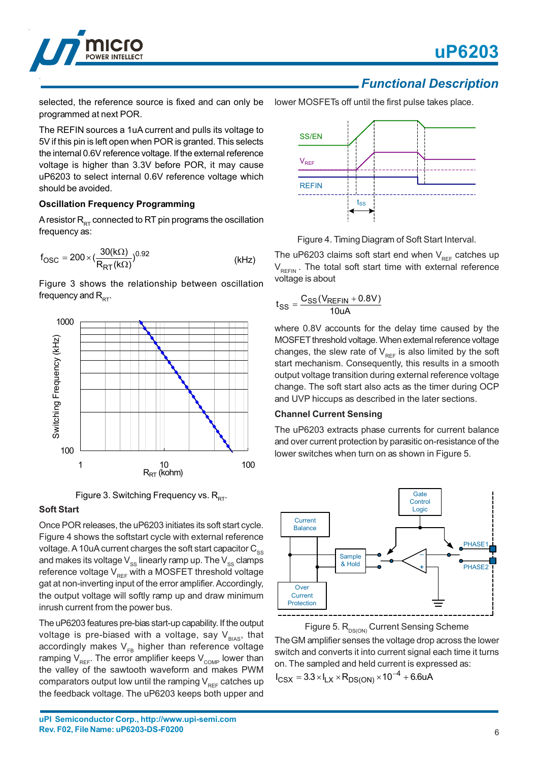

selected, the reference source is fixed and can only be programmed at next POR.

The REFIN sources a 1uA current and pulls its voltage to 5V if this pin is left open when POR is granted. This selects the internal 0.6V reference voltage. If the external reference voltage is higher than 3.3V before POR, it may cause uP6203 to select internal 0.6V reference voltage which should be avoided.

#### **Oscillation Frequency Programming**

A resistor  $R_{DT}$  connected to RT pin programs the oscillation frequency as:

$$
f_{\rm OSC} = 200 \times \left(\frac{30(k\Omega)}{R_{\rm RT}(k\Omega)}\right)^{0.92}
$$
 (kHz)

Figure 3 shows the relationship between oscillation frequency and  $R_{\text{err}}$ .



Figure 3. Switching Frequency vs.  $R_{RT}$ .

#### **Soft Start**

Once POR releases, the uP6203 initiates its soft start cycle. Figure 4 shows the softstart cycle with external reference voltage. A 10uA current charges the soft start capacitor  $C_{ss}$ and makes its voltage  $V_{ss}$  linearly ramp up. The  $V_{ss}$  clamps reference voltage  $V_{\text{per}}$  with a MOSFET threshold voltage gat at non-inverting input of the error amplifier. Accordingly, the output voltage will softly ramp up and draw minimum inrush current from the power bus.

The uP6203 features pre-bias start-up capability. If the output voltage is pre-biased with a voltage, say  $V_{BIAS}$ , that accordingly makes  $V_{FB}$  higher than reference voltage ramping  $V_{RFF}$ . The error amplifier keeps  $V_{\text{COMP}}$  lower than the valley of the sawtooth waveform and makes PWM comparators output low until the ramping  $V_{REF}$  catches up the feedback voltage. The uP6203 keeps both upper and



Figure 4. Timing Diagram of Soft Start Interval.

The uP6203 claims soft start end when  $V_{REF}$  catches up  $V_{REFIN}$ . The total soft start time with external reference voltage is about

$$
t_{SS}=\frac{C_{SS}(V_{REFIN}+0.8V)}{10uA}
$$

where 0.8V accounts for the delay time caused by the MOSFET threshold voltage. When external reference voltage changes, the slew rate of  $V_{REF}$  is also limited by the soft start mechanism. Consequently, this results in a smooth output voltage transition during external reference voltage change. The soft start also acts as the timer during OCP and UVP hiccups as described in the later sections.

#### **Channel Current Sensing**

The uP6203 extracts phase currents for current balance and over current protection by parasitic on-resistance of the lower switches when turn on as shown in Figure 5.



Figure 5. R<sub>DS(ON)</sub> Current Sensing Scheme The GM amplifier senses the voltage drop across the lower switch and converts it into current signal each time it turns on. The sampled and held current is expressed as:  $I_{\text{CSX}} = 3.3 \times I_{\text{LX}} \times R_{\text{DS}(\text{ON})} \times 10^{-4} + 6.6$ uA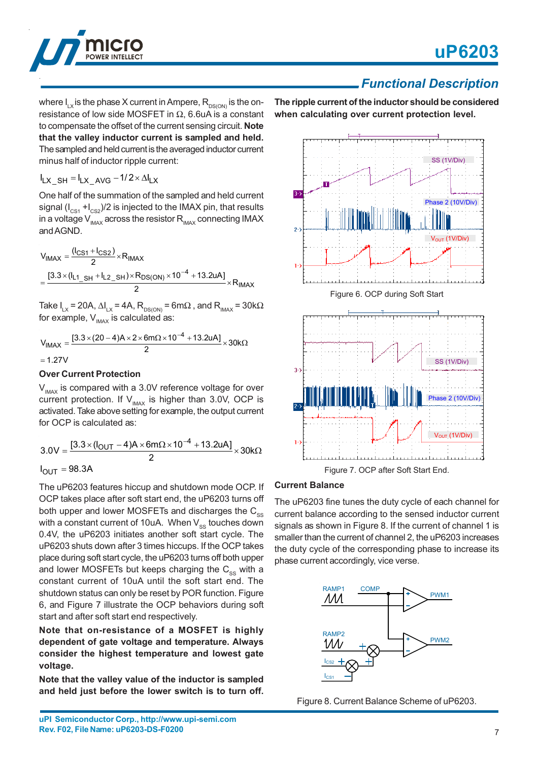

where  $I_{LX}$  is the phase X current in Ampere,  $R_{DS(ON)}$  is the onresistance of low side MOSFET in  $Ω$ , 6.6uA is a constant to compensate the offset of the current sensing circuit. **Note that the valley inductor current is sampled and held.** The sampled and held current is the averaged inductor current minus half of inductor ripple current:

$$
I_{LX\_SH} = I_{LX\_AVG} - 1/2 \times \Delta I_{LX}
$$

One half of the summation of the sampled and held current signal  $(I_{CS1} + I_{CS2})/2$  is injected to the IMAX pin, that results in a voltage  $V_{\text{MAX}}$  across the resistor  $R_{\text{MAX}}$  connecting IMAX and AGND.

$$
V_{IMAX} = \frac{(I_{CS1} + I_{CS2})}{2} \times R_{IMAX}
$$
  
= 
$$
\frac{[3.3 \times (I_{L1\_SH} + I_{L2\_SH}) \times R_{DS(ON)} \times 10^{-4} + 13.2 uA]}{2} \times R_{IMAX}
$$

Take I<sub>LX</sub> = 20A,  $\Delta I_{LX}$  = 4A, R<sub>DS(ON)</sub> = 6mΩ , and R<sub>IMAX</sub> = 30kΩ for example,  $V_{I_{MAX}}$  is calculated as:

$$
V_{IMAX} = \frac{[3.3 \times (20 - 4)A \times 2 \times 6m\Omega \times 10^{-4} + 13.2uA]}{2} \times 30k\Omega
$$
  
= 1.27V

#### **Over Current Protection**

 $V_{I_{MAX}}$  is compared with a 3.0V reference voltage for over current protection. If  $V_{\text{MAX}}$  is higher than 3.0V, OCP is activated. Take above setting for example, the output current for OCP is calculated as:

$$
3.0V = \frac{[3.3 \times (I_{OUT} - 4)A \times 6m\Omega \times 10^{-4} + 13.2uA]}{2} \times 30k\Omega
$$
  

$$
I_{OUT} = 98.3A
$$

The uP6203 features hiccup and shutdown mode OCP. If OCP takes place after soft start end, the uP6203 turns off both upper and lower MOSFETs and discharges the  $C_{\infty}$ with a constant current of 10uA. When  $V_{\text{ss}}$  touches down 0.4V, the uP6203 initiates another soft start cycle. The uP6203 shuts down after 3 times hiccups. If the OCP takes place during soft start cycle, the uP6203 turns off both upper and lower MOSFETs but keeps charging the  $C_{ss}$  with a constant current of 10uA until the soft start end. The shutdown status can only be reset by POR function. Figure 6, and Figure 7 illustrate the OCP behaviors during soft start and after soft start end respectively.

#### **Note that on-resistance of a MOSFET is highly dependent of gate voltage and temperature. Always consider the highest temperature and lowest gate voltage.**

**Note that the valley value of the inductor is sampled and held just before the lower switch is to turn off.** **The ripple current of the inductor should be considered when calculating over current protection level.**



#### **Current Balance**

The uP6203 fine tunes the duty cycle of each channel for current balance according to the sensed inductor current signals as shown in Figure 8. If the current of channel 1 is smaller than the current of channel 2, the uP6203 increases the duty cycle of the corresponding phase to increase its phase current accordingly, vice verse.



Figure 8. Current Balance Scheme of uP6203.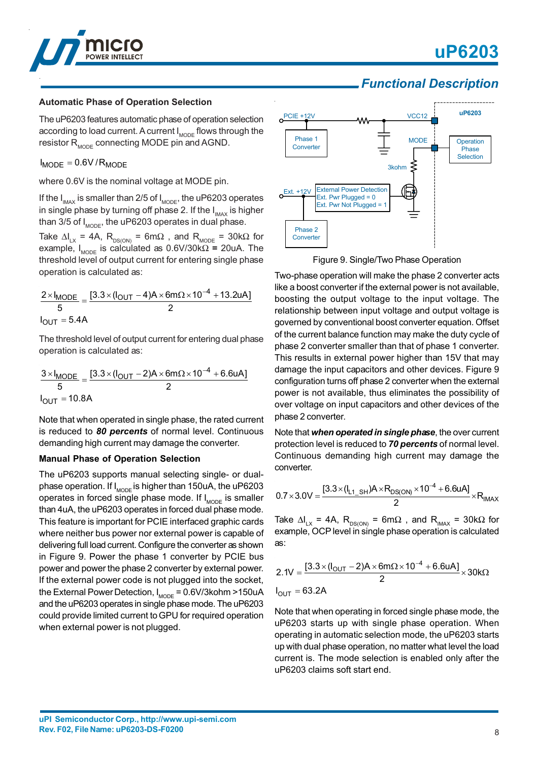



#### **Automatic Phase of Operation Selection**

The uP6203 features automatic phase of operation selection according to load current. A current  $I_{\text{MODE}}$  flows through the resistor  $R_{\text{MDDE}}$  connecting MODE pin and AGND.

 $I_{\text{MODE}} = 0.6 V / R_{\text{MODE}}$ 

where 0.6V is the nominal voltage at MODE pin.

If the  $I_{\text{MAX}}$  is smaller than 2/5 of  $I_{\text{MODE}}$ , the uP6203 operates in single phase by turning off phase 2. If the  $I_{\text{MAX}}$  is higher than 3/5 of  $I_{\text{MODE}}$ , the uP6203 operates in dual phase.

Take  $\Delta I_{LX}$  = 4A,  $R^{\phantom{|}}_{\textrm{\tiny{DS(ON)}}}$  = 6mΩ , and  $R^{\phantom{|}}_{\textrm{\tiny{MODE}}}$  = 30kΩ for example, I<sub>MODE</sub> is calculated as 0.6V/30kΩ = 20uA. The threshold level of output current for entering single phase operation is calculated as:

$$
\frac{2 \times I_{MODE}}{5} = \frac{[3.3 \times (I_{OUT} - 4)A \times 6m\Omega \times 10^{-4} + 13.2uA]}{2}
$$
  
I<sub>OUT</sub> = 5.4A

The threshold level of output current for entering dual phase operation is calculated as:

$$
\frac{3 \times I_{MODE}}{5} = \frac{[3.3 \times (I_{OUT} - 2)A \times 6m\Omega \times 10^{-4} + 6.6uA]}{2}
$$
  

$$
I_{OUT} = 10.8A
$$

Note that when operated in single phase, the rated current is reduced to *80 percents* of normal level. Continuous demanding high current may damage the converter.

#### **Manual Phase of Operation Selection**

The uP6203 supports manual selecting single- or dualphase operation. If  $I_{\text{MODE}}$  is higher than 150uA, the uP6203 operates in forced single phase mode. If  $I_{\text{MODE}}$  is smaller than 4uA, the uP6203 operates in forced dual phase mode. This feature is important for PCIE interfaced graphic cards where neither bus power nor external power is capable of delivering full load current. Configure the converter as shown in Figure 9. Power the phase 1 converter by PCIE bus power and power the phase 2 converter by external power. If the external power code is not plugged into the socket, the External Power Detection,  $I_{\text{MODE}} = 0.6 \text{V/3}$ kohm >150uA and the uP6203 operates in single phase mode. The uP6203 could provide limited current to GPU for required operation when external power is not plugged.



Figure 9. Single/Two Phase Operation

Two-phase operation will make the phase 2 converter acts like a boost converter if the external power is not available, boosting the output voltage to the input voltage. The relationship between input voltage and output voltage is governed by conventional boost converter equation. Offset of the current balance function may make the duty cycle of phase 2 converter smaller than that of phase 1 converter. This results in external power higher than 15V that may damage the input capacitors and other devices. Figure 9 configuration turns off phase 2 converter when the external power is not available, thus eliminates the possibility of over voltage on input capacitors and other devices of the phase 2 converter.

Note that *when operated in single phase*, the over current protection level is reduced to *70 percents* of normal level. Continuous demanding high current may damage the converter.

$$
0.7 \times 3.0V = \frac{[3.3 \times (I_{L1\_SH})A \times R_{DS(ON)} \times 10^{-4} + 6.6uA]}{2} \times R_{IMAX}
$$

Take  $\Delta I_{LX}$  = 4A,  $R_{_{DS(ON)}}$  = 6m $\Omega$  , and  $R_{_{IMAX}}$  = 30k $\Omega$  for example, OCP level in single phase operation is calculated as:

$$
2.1V = \frac{[3.3 \times (I_{OUT} - 2)A \times 6m\Omega \times 10^{-4} + 6.6uA]}{2} \times 30k\Omega
$$
  

$$
I_{OUT} = 63.2A
$$

Note that when operating in forced single phase mode, the uP6203 starts up with single phase operation. When operating in automatic selection mode, the uP6203 starts up with dual phase operation, no matter what level the load current is. The mode selection is enabled only after the uP6203 claims soft start end.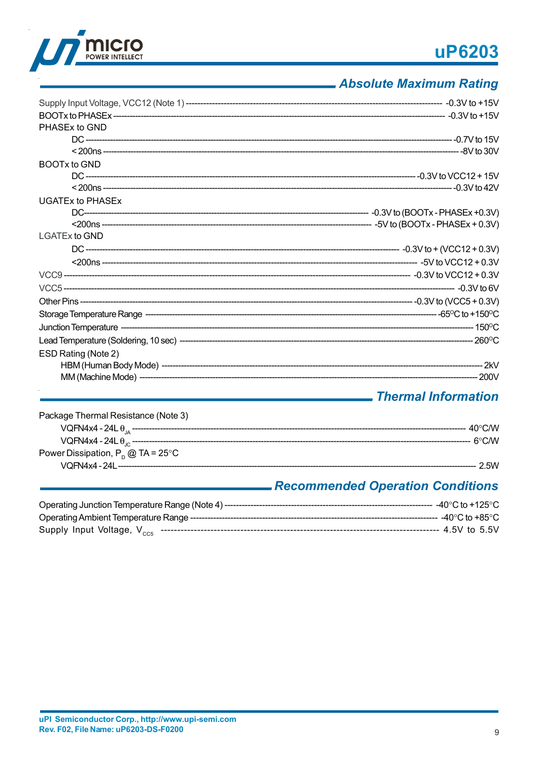# uP6203



## - Absolute Maximum Rating

| PHASEx to GND           |  |
|-------------------------|--|
|                         |  |
|                         |  |
| BOOTx to GND            |  |
|                         |  |
|                         |  |
| <b>UGATEx to PHASEX</b> |  |
|                         |  |
|                         |  |
| <b>LGATEx to GND</b>    |  |
|                         |  |
|                         |  |
|                         |  |
|                         |  |
|                         |  |
|                         |  |
|                         |  |
|                         |  |
| ESD Rating (Note 2)     |  |
|                         |  |
|                         |  |
|                         |  |

## - Thermal Information

| Package Thermal Resistance (Note 3)    |                                                                                                                                                                                                                                                                                                                                                                                                                                                          |
|----------------------------------------|----------------------------------------------------------------------------------------------------------------------------------------------------------------------------------------------------------------------------------------------------------------------------------------------------------------------------------------------------------------------------------------------------------------------------------------------------------|
|                                        | $\text{VQFM4x4 - 24L }\theta_{\text{\tiny{IA}}} \text{ _{d}} \text{ _{d}} \text{ _{d}} \text{ _{u}} \text{ _{u}} \text{ _{u}} \text{ _{u}} \text{ _{u}} \text{ _{u}} \text{ _{u}} \text{ _{u}} \text{ _{u}} \text{ _{u}} \text{ _{u}} \text{ _{u}} \text{ _{u}} \text{ _{u}} \text{ _{u}} \text{ _{u}} \text{ _{u}} \text{ _{u}} \text{ _{u}} \text{ _{u}} \text{ _{u}} \text{ _{u}} \text{ _{u}} \text{ _{u}} \text{ _{u}}$<br>$40^{\circ}$ CM $\sigma$ |
|                                        | <b>െ</b> CM                                                                                                                                                                                                                                                                                                                                                                                                                                              |
| Power Dissipation, $P_{p}$ @ TA = 25°C |                                                                                                                                                                                                                                                                                                                                                                                                                                                          |
|                                        | 25W                                                                                                                                                                                                                                                                                                                                                                                                                                                      |
|                                        | Desamproceded Openetian Occoditions                                                                                                                                                                                                                                                                                                                                                                                                                      |

### Recommended Operation Conditions\_

| Operating Junction Temperature Range (Note 4) ------- | - -40°C to +125°C - |
|-------------------------------------------------------|---------------------|
|                                                       | -- -40°C to +85°C - |
|                                                       | ----- 4.5V to 5.5V  |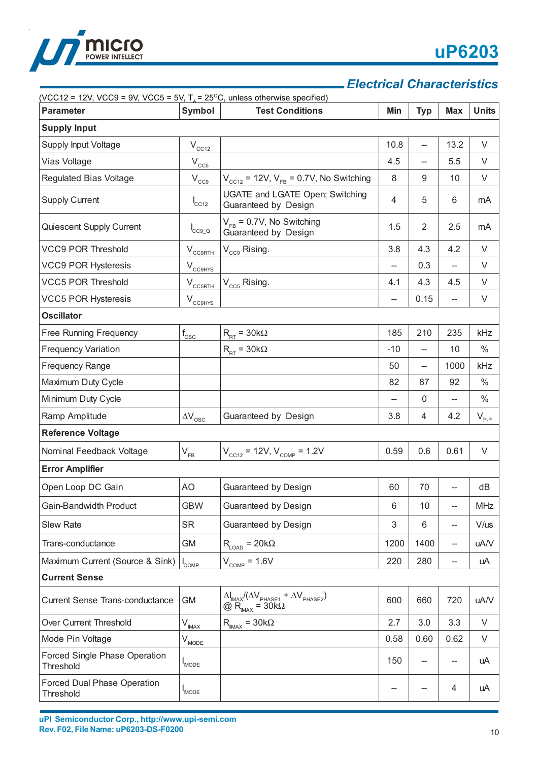

### *Electrical Characteristics*

| (VCC12 = 12V, VCC9 = 9V, VCC5 = 5V, $T_a$ = 25 <sup>o</sup> C, unless otherwise specified)<br><b>Parameter</b> | Symbol                              | <b>Test Conditions</b>                                                                                        | Min                      | <b>Typ</b>               | <b>Max</b>               | <b>Units</b> |  |
|----------------------------------------------------------------------------------------------------------------|-------------------------------------|---------------------------------------------------------------------------------------------------------------|--------------------------|--------------------------|--------------------------|--------------|--|
| <b>Supply Input</b>                                                                                            |                                     |                                                                                                               |                          |                          |                          |              |  |
| Supply Input Voltage                                                                                           | $\rm V_{\rm \underline{CCL2}}$      |                                                                                                               | 10.8                     | $\overline{\phantom{a}}$ | 13.2                     | V            |  |
| Vias Voltage                                                                                                   | $\rm V_{\rm \underline{C}\bar{C}5}$ |                                                                                                               | 4.5                      | $\overline{\phantom{a}}$ | 5.5                      | V            |  |
| Regulated Bias Voltage                                                                                         | $\rm V_{\rm CC9}$                   | $V_{\text{CC12}}$ = 12V, $V_{\text{FB}}$ = 0.7V, No Switching                                                 | 8                        | 9                        | 10                       | V            |  |
| <b>Supply Current</b>                                                                                          | $I_{CC12}$                          | UGATE and LGATE Open; Switching<br>Guaranteed by Design                                                       | 4                        | 5                        | 6                        | mA           |  |
| Quiescent Supply Current                                                                                       | $I_{CC9_Q}$                         | $V_{FB} = 0.7V$ , No Switching<br>Guaranteed by Design                                                        | 1.5                      | $\overline{2}$           | 2.5                      | mA           |  |
| <b>VCC9 POR Threshold</b>                                                                                      | $V_{CC9RTH}$                        | V <sub>cc9</sub> Rising.                                                                                      | 3.8                      | 4.3                      | 4.2                      | V            |  |
| <b>VCC9 POR Hysteresis</b>                                                                                     | $V_{\text{CCBHYS}}$                 |                                                                                                               |                          | 0.3                      | $\overline{\phantom{0}}$ | V            |  |
| <b>VCC5 POR Threshold</b>                                                                                      | $V_{CCSRTH}$                        | $V_{cc5}$ Rising.                                                                                             | 4.1                      | 4.3                      | 4.5                      | V            |  |
| <b>VCC5 POR Hysteresis</b>                                                                                     | $V_{cc9HYS}$                        |                                                                                                               | $\overline{\phantom{a}}$ | 0.15                     | $\overline{\phantom{0}}$ | V            |  |
| <b>Oscillator</b>                                                                                              |                                     |                                                                                                               |                          |                          |                          |              |  |
| Free Running Frequency                                                                                         | $f_{\rm osc}$                       | $R_{RT}$ = 30k $\Omega$                                                                                       | 185                      | 210                      | 235                      | kHz          |  |
| <b>Frequency Variation</b>                                                                                     |                                     | $R_{RT}$ = 30k $\Omega$                                                                                       | $-10$                    | --                       | 10                       | $\%$         |  |
| <b>Frequency Range</b>                                                                                         |                                     |                                                                                                               | 50                       | --                       | 1000                     | kHz          |  |
| Maximum Duty Cycle                                                                                             |                                     |                                                                                                               | 82                       | 87                       | 92                       | $\%$         |  |
| Minimum Duty Cycle                                                                                             |                                     |                                                                                                               |                          | 0                        | $-$                      | $\%$         |  |
| Ramp Amplitude                                                                                                 | $\Delta\rm{V}_{\rm{osc}}$           | Guaranteed by Design                                                                                          | 3.8                      | 4                        | 4.2                      | $V_{p,p}$    |  |
| <b>Reference Voltage</b>                                                                                       |                                     |                                                                                                               |                          |                          |                          |              |  |
| Nominal Feedback Voltage                                                                                       | $V_{FB}$                            | $V_{\text{cc12}}$ = 12V, $V_{\text{COMP}}$ = 1.2V                                                             | 0.59                     | 0.6                      | 0.61                     | V            |  |
| <b>Error Amplifier</b>                                                                                         |                                     |                                                                                                               |                          |                          |                          |              |  |
| Open Loop DC Gain                                                                                              | AO                                  | Guaranteed by Design                                                                                          | 60                       | 70                       | --                       | dB           |  |
| Gain-Bandwidth Product                                                                                         | <b>GBW</b>                          | Guaranteed by Design                                                                                          | 6                        | 10                       | --                       | <b>MHz</b>   |  |
| <b>Slew Rate</b>                                                                                               | <b>SR</b>                           | Guaranteed by Design                                                                                          | 3                        | 6                        | --                       | V/us         |  |
| Trans-conductance                                                                                              | GM                                  | $R_{LOAD} = 20k\Omega$                                                                                        | 1200                     | 1400                     | --                       | uA/V         |  |
| Maximum Current (Source & Sink)                                                                                | $I_{COMP}$                          | $V_{\text{COMP}} = 1.6V$                                                                                      | 220                      | 280                      | --                       | uA           |  |
| <b>Current Sense</b>                                                                                           |                                     |                                                                                                               |                          |                          |                          |              |  |
| <b>Current Sense Trans-conductance</b>                                                                         | <b>GM</b>                           | $\Delta I_{\text{MAX}} / (\Delta V_{\text{PHASE1}} + \Delta V_{\text{PHASE2}})$<br>@ $R_{MAX}$ = 30k $\Omega$ | 600                      | 660                      | 720                      | uA/V         |  |
| Over Current Threshold                                                                                         | $V_{\text{MAX}}$                    | $R_{\text{IMAX}} = 30k\Omega$                                                                                 | 2.7                      | 3.0                      | 3.3                      | V            |  |
| Mode Pin Voltage                                                                                               | $V_{\text{MODE}}$                   |                                                                                                               | 0.58                     | 0.60                     | 0.62                     | V            |  |
| Forced Single Phase Operation<br>Threshold                                                                     | <b>IMODE</b>                        |                                                                                                               | 150                      | --                       | --                       | uA           |  |
| Forced Dual Phase Operation<br>Threshold                                                                       | <b>IMODE</b>                        |                                                                                                               | --                       |                          | 4                        | uA           |  |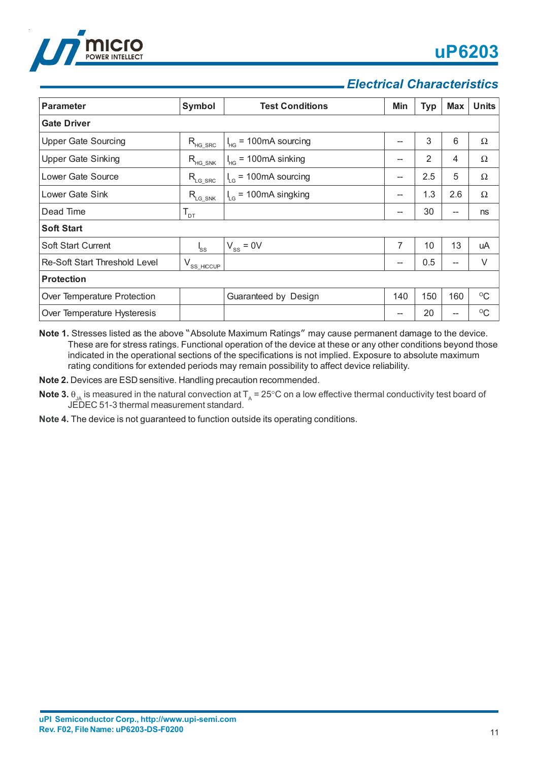

# *Electrical Characteristics*

| <b>Parameter</b>                     | Symbol           | <b>Test Conditions</b>                                  | Min | <b>Typ</b> | <b>Max</b> | <b>Units</b> |  |  |
|--------------------------------------|------------------|---------------------------------------------------------|-----|------------|------------|--------------|--|--|
| <b>Gate Driver</b>                   |                  |                                                         |     |            |            |              |  |  |
| <b>Upper Gate Sourcing</b>           | $R_{HG\_SRC}$    | $= 100 \text{mA}$ sourcing<br>$I_{HG}$                  | --  | 3          | 6          | Ω            |  |  |
| <b>Upper Gate Sinking</b>            | $R_{HG\_SNK}$    | $= 100 \text{mA}$ sinking<br>$\mathsf{I}_{\mathsf{HG}}$ | --  | 2          | 4          | Ω            |  |  |
| Lower Gate Source                    | $R_{LG\_SRC}$    | $I_{LG}$ = 100mA sourcing                               | --  | 2.5        | 5          | Ω            |  |  |
| Lower Gate Sink                      | $R_{LG\_SNK}$    | $I_{LG}$ = 100mA singking                               | --  | 1.3        | 2.6        | Ω            |  |  |
| Dead Time                            | $T_{DT}$         |                                                         | --  | 30         | --         | ns           |  |  |
| <b>Soft Start</b>                    |                  |                                                         |     |            |            |              |  |  |
| <b>Soft Start Current</b>            | $I_{SS}$         | $V_{ss} = 0V$                                           | 7   | 10         | 13         | uA           |  |  |
| <b>Re-Soft Start Threshold Level</b> | $V_{SS\_HICCUP}$ |                                                         | --  | 0.5        | --         | V            |  |  |
| <b>Protection</b>                    |                  |                                                         |     |            |            |              |  |  |
| Over Temperature Protection          |                  | Guaranteed by Design                                    | 140 | 150        | 160        | $\rm ^{O}C$  |  |  |
| Over Temperature Hysteresis          |                  |                                                         | --  | 20         | --         | $\rm ^{O}C$  |  |  |

**Note 1.** Stresses listed as the above "Absolute Maximum Ratings" may cause permanent damage to the device. These are for stress ratings. Functional operation of the device at these or any other conditions beyond those indicated in the operational sections of the specifications is not implied. Exposure to absolute maximum rating conditions for extended periods may remain possibility to affect device reliability.

**Note 2.** Devices are ESD sensitive. Handling precaution recommended.

- **Note 3.**  $\theta_{1A}$  is measured in the natural convection at T<sub>A</sub> = 25°C on a low effective thermal conductivity test board of JEDEC 51-3 thermal measurement standard.
- **Note 4.** The device is not guaranteed to function outside its operating conditions.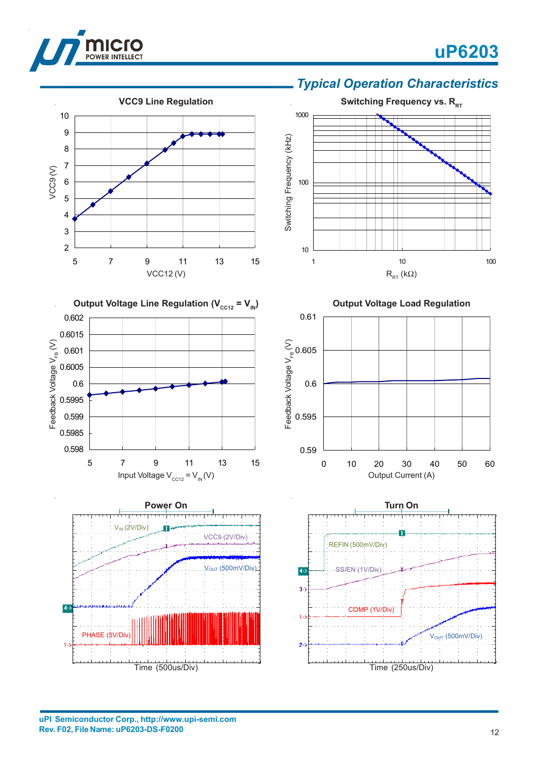

VCC9 (V)

# **uP6203**



### *Typical Operation Characteristics*



5 7 9 11 13 15

VCC12 (V)

**VCC9 Line Regulation**



**Output Voltage Load Regulation** 0.61 Feedback Voltage V<sub>FB</sub> (V) Feedback Voltage  $\mathsf{V}_{\mathsf{FB}}\left(\mathsf{V}\right)$ 0.605 0.6 0.595 0.59 0 10 20 30 40 50 60 Output Current (A)



**uPI Semiconductor Corp., http://www.upi-semi.com Rev. F02, File Name: uP6203-DS-F0200**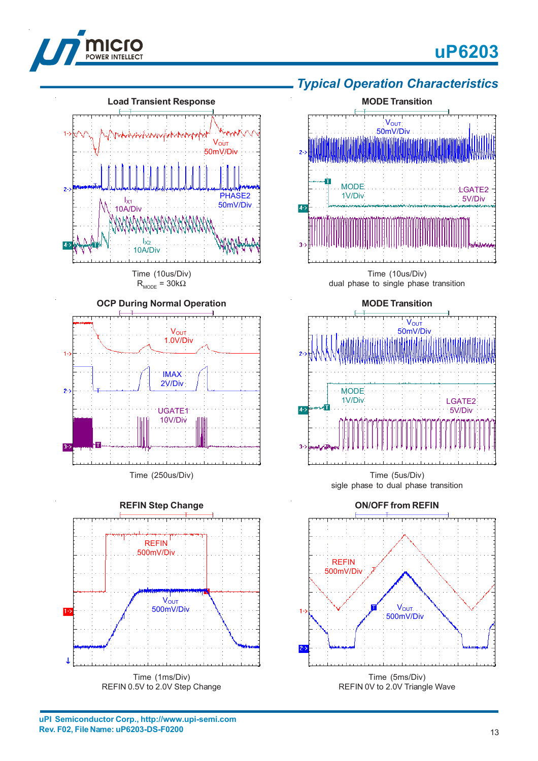







Time (5us/Div) sigle phase to dual phase transition



**uPI Semiconductor Corp., http://www.upi-semi.com Rev. F02, File Name: uP6203-DS-F0200**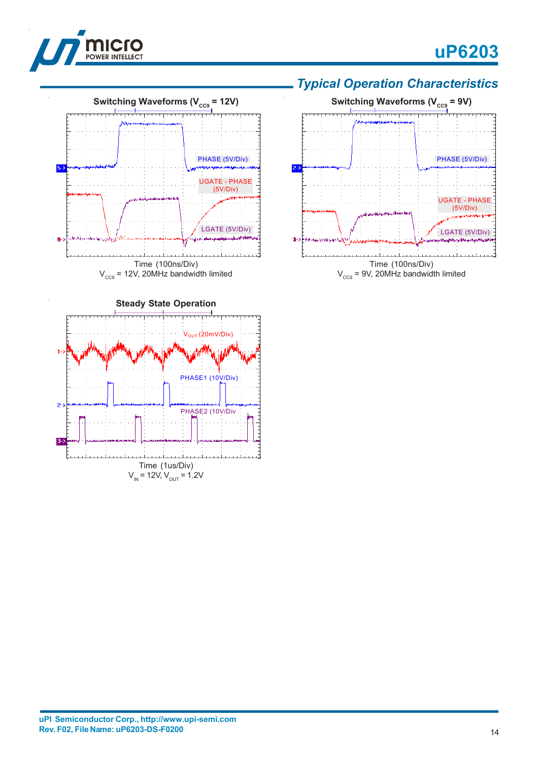



### *Typical Operation Characteristics*





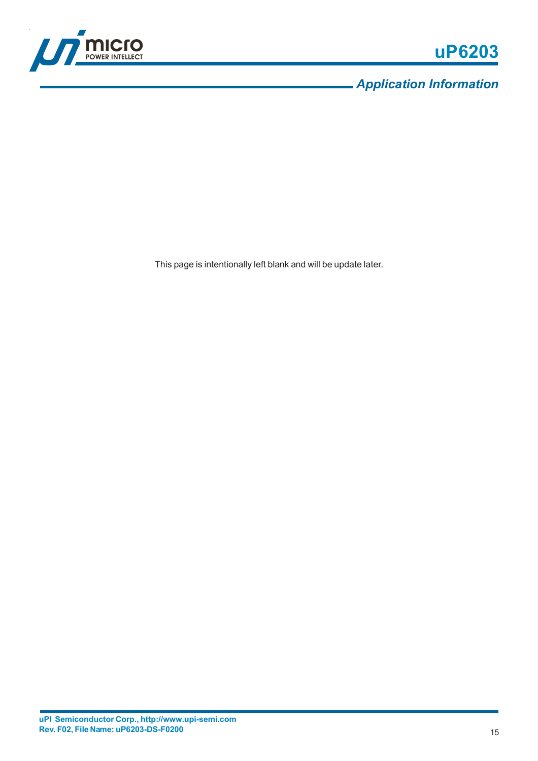

*Application Information*

This page is intentionally left blank and will be update later.